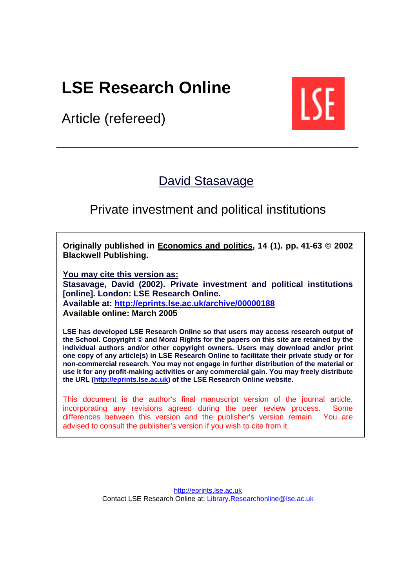# **LSE Research Online**

Article (refereed)



# [David Stasavage](http://www.lse.ac.uk/people/d.stasavage@lse.ac.uk/)

# Private investment and political institutions

**Originally published in [Economics and politics,](http://www.blackwellpublishing.com/journal.asp?ref=0954-1985) 14 (1). pp. 41-63 © 2002 Blackwell Publishing.** 

**You may cite this version as: Stasavage, David (2002). Private investment and political institutions [online]. London: LSE Research Online. Available at: <http://eprints.lse.ac.uk/archive/00000188> Available online: March 2005**

**LSE has developed LSE Research Online so that users may access research output of the School. Copyright © and Moral Rights for the papers on this site are retained by the individual authors and/or other copyright owners. Users may download and/or print one copy of any article(s) in LSE Research Online to facilitate their private study or for non-commercial research. You may not engage in further distribution of the material or use it for any profit-making activities or any commercial gain. You may freely distribute the URL [\(http://eprints.lse.ac.uk\)](http://eprints.lse.ac.uk/) of the LSE Research Online website.** 

This document is the author's final manuscript version of the journal article, incorporating any revisions agreed during the peer review process. Some differences between this version and the publisher's version remain. You are advised to consult the publisher's version if you wish to cite from it.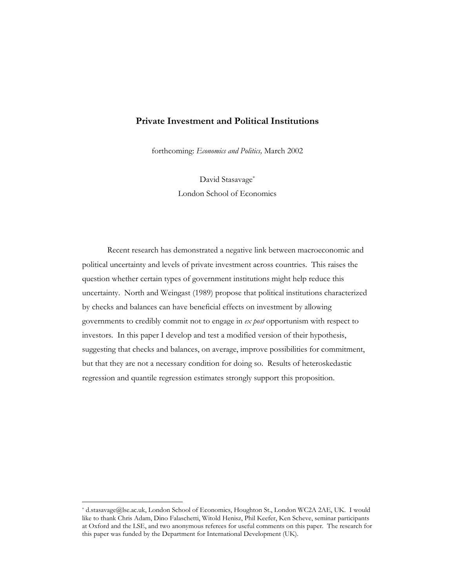#### **Private Investment and Political Institutions**

forthcoming: *Economics and Politics,* March 2002

David Stasavage\* London School of Economics

Recent research has demonstrated a negative link between macroeconomic and political uncertainty and levels of private investment across countries. This raises the question whether certain types of government institutions might help reduce this uncertainty. North and Weingast (1989) propose that political institutions characterized by checks and balances can have beneficial effects on investment by allowing governments to credibly commit not to engage in *ex post* opportunism with respect to investors. In this paper I develop and test a modified version of their hypothesis, suggesting that checks and balances, on average, improve possibilities for commitment, but that they are not a necessary condition for doing so. Results of heteroskedastic regression and quantile regression estimates strongly support this proposition.

 $\overline{a}$ 

<sup>\*</sup> d.stasavage@lse.ac.uk, London School of Economics, Houghton St., London WC2A 2AE, UK. I would like to thank Chris Adam, Dino Falaschetti, Witold Henisz, Phil Keefer, Ken Scheve, seminar participants at Oxford and the LSE, and two anonymous referees for useful comments on this paper. The research for this paper was funded by the Department for International Development (UK).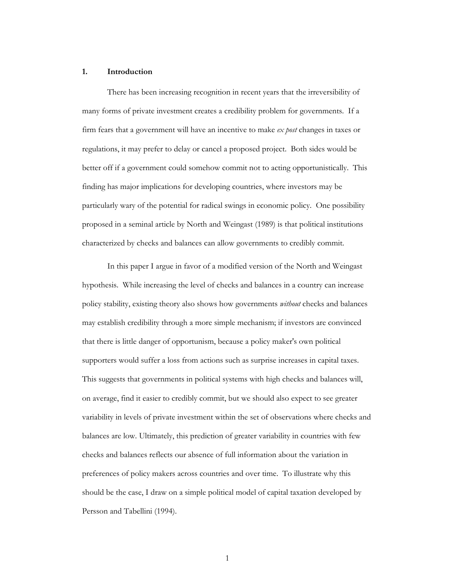#### **1. Introduction**

There has been increasing recognition in recent years that the irreversibility of many forms of private investment creates a credibility problem for governments. If a firm fears that a government will have an incentive to make *ex post* changes in taxes or regulations, it may prefer to delay or cancel a proposed project. Both sides would be better off if a government could somehow commit not to acting opportunistically. This finding has major implications for developing countries, where investors may be particularly wary of the potential for radical swings in economic policy. One possibility proposed in a seminal article by North and Weingast (1989) is that political institutions characterized by checks and balances can allow governments to credibly commit.

In this paper I argue in favor of a modified version of the North and Weingast hypothesis. While increasing the level of checks and balances in a country can increase policy stability, existing theory also shows how governments *without* checks and balances may establish credibility through a more simple mechanism; if investors are convinced that there is little danger of opportunism, because a policy maker's own political supporters would suffer a loss from actions such as surprise increases in capital taxes. This suggests that governments in political systems with high checks and balances will, on average, find it easier to credibly commit, but we should also expect to see greater variability in levels of private investment within the set of observations where checks and balances are low. Ultimately, this prediction of greater variability in countries with few checks and balances reflects our absence of full information about the variation in preferences of policy makers across countries and over time. To illustrate why this should be the case, I draw on a simple political model of capital taxation developed by Persson and Tabellini (1994).

1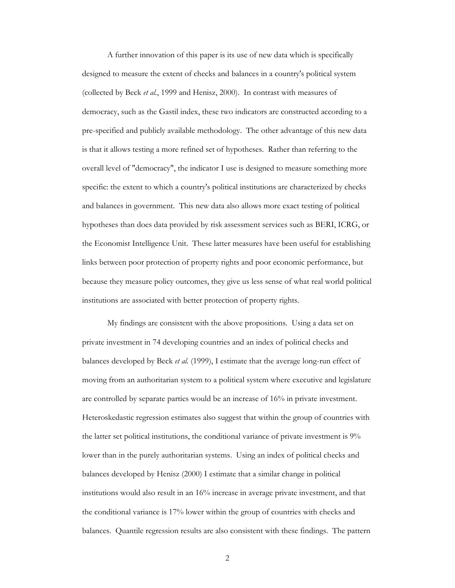A further innovation of this paper is its use of new data which is specifically designed to measure the extent of checks and balances in a country's political system (collected by Beck *et al.*, 1999 and Henisz, 2000). In contrast with measures of democracy, such as the Gastil index, these two indicators are constructed according to a pre-specified and publicly available methodology. The other advantage of this new data is that it allows testing a more refined set of hypotheses. Rather than referring to the overall level of "democracy", the indicator I use is designed to measure something more specific: the extent to which a country's political institutions are characterized by checks and balances in government. This new data also allows more exact testing of political hypotheses than does data provided by risk assessment services such as BERI, ICRG, or the Economist Intelligence Unit. These latter measures have been useful for establishing links between poor protection of property rights and poor economic performance, but because they measure policy outcomes, they give us less sense of what real world political institutions are associated with better protection of property rights.

My findings are consistent with the above propositions. Using a data set on private investment in 74 developing countries and an index of political checks and balances developed by Beck *et al.* (1999), I estimate that the average long-run effect of moving from an authoritarian system to a political system where executive and legislature are controlled by separate parties would be an increase of 16% in private investment. Heteroskedastic regression estimates also suggest that within the group of countries with the latter set political institutions, the conditional variance of private investment is 9% lower than in the purely authoritarian systems. Using an index of political checks and balances developed by Henisz (2000) I estimate that a similar change in political institutions would also result in an 16% increase in average private investment, and that the conditional variance is 17% lower within the group of countries with checks and balances. Quantile regression results are also consistent with these findings. The pattern

2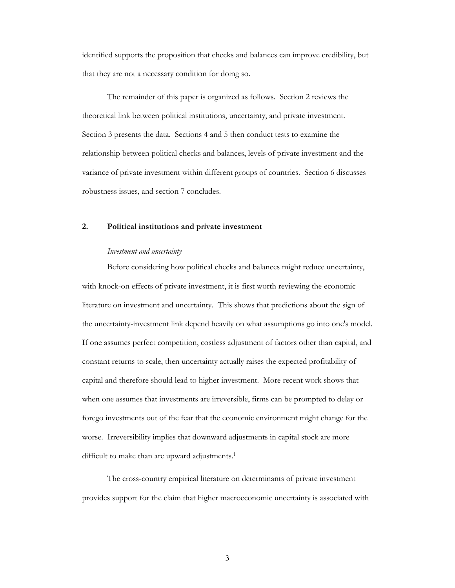identified supports the proposition that checks and balances can improve credibility, but that they are not a necessary condition for doing so.

The remainder of this paper is organized as follows. Section 2 reviews the theoretical link between political institutions, uncertainty, and private investment. Section 3 presents the data. Sections 4 and 5 then conduct tests to examine the relationship between political checks and balances, levels of private investment and the variance of private investment within different groups of countries. Section 6 discusses robustness issues, and section 7 concludes.

#### **2. Political institutions and private investment**

#### *Investment and uncertainty*

Before considering how political checks and balances might reduce uncertainty, with knock-on effects of private investment, it is first worth reviewing the economic literature on investment and uncertainty. This shows that predictions about the sign of the uncertainty-investment link depend heavily on what assumptions go into one's model. If one assumes perfect competition, costless adjustment of factors other than capital, and constant returns to scale, then uncertainty actually raises the expected profitability of capital and therefore should lead to higher investment. More recent work shows that when one assumes that investments are irreversible, firms can be prompted to delay or forego investments out of the fear that the economic environment might change for the worse. Irreversibility implies that downward adjustments in capital stock are more difficult to make than are upward adjustments.<sup>1</sup>

The cross-country empirical literature on determinants of private investment provides support for the claim that higher macroeconomic uncertainty is associated with

3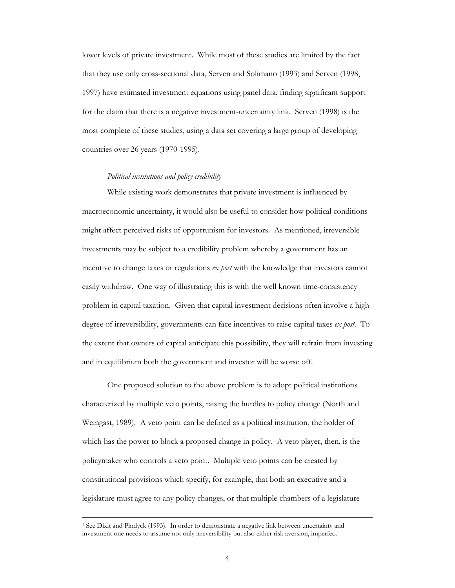lower levels of private investment. While most of these studies are limited by the fact that they use only cross-sectional data, Serven and Solimano (1993) and Serven (1998, 1997) have estimated investment equations using panel data, finding significant support for the claim that there is a negative investment-uncertainty link. Serven (1998) is the most complete of these studies, using a data set covering a large group of developing countries over 26 years (1970-1995).

#### *Political institutions and policy credibility*

While existing work demonstrates that private investment is influenced by macroeconomic uncertainty, it would also be useful to consider how political conditions might affect perceived risks of opportunism for investors. As mentioned, irreversible investments may be subject to a credibility problem whereby a government has an incentive to change taxes or regulations *ex post* with the knowledge that investors cannot easily withdraw. One way of illustrating this is with the well known time-consistency problem in capital taxation. Given that capital investment decisions often involve a high degree of irreversibility, governments can face incentives to raise capital taxes *ex post*. To the extent that owners of capital anticipate this possibility, they will refrain from investing and in equilibrium both the government and investor will be worse off.

One proposed solution to the above problem is to adopt political institutions characterized by multiple veto points, raising the hurdles to policy change (North and Weingast, 1989). A veto point can be defined as a political institution, the holder of which has the power to block a proposed change in policy. A veto player, then, is the policymaker who controls a veto point. Multiple veto points can be created by constitutional provisions which specify, for example, that both an executive and a legislature must agree to any policy changes, or that multiple chambers of a legislature

 <sup>1</sup> See Dixit and Pindyck (1993). In order to demonstrate a negative link between uncertainty and investment one needs to assume not only irreversibility but also either risk aversion, imperfect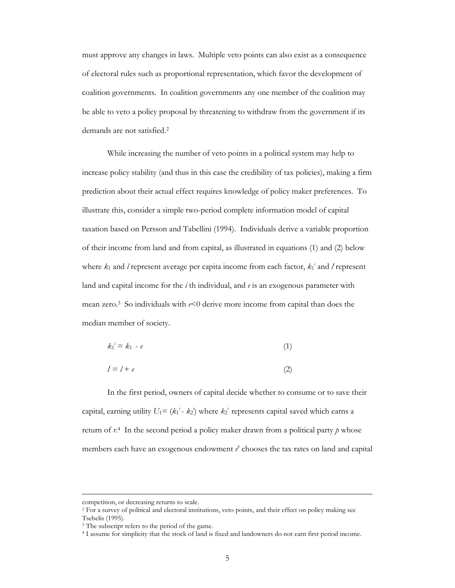must approve any changes in laws. Multiple veto points can also exist as a consequence of electoral rules such as proportional representation, which favor the development of coalition governments. In coalition governments any one member of the coalition may be able to veto a policy proposal by threatening to withdraw from the government if its demands are not satisfied.2

While increasing the number of veto points in a political system may help to increase policy stability (and thus in this case the credibility of tax policies), making a firm prediction about their actual effect requires knowledge of policy maker preferences. To illustrate this, consider a simple two-period complete information model of capital taxation based on Persson and Tabellini (1994). Individuals derive a variable proportion of their income from land and from capital, as illustrated in equations (1) and (2) below where  $k_1$  and *l* represent average per capita income from each factor,  $k_1$ <sup>*i*</sup> and *l* represent land and capital income for the *i* th individual, and *e* is an exogenous parameter with mean zero.3 So individuals with *e*<0 derive more income from capital than does the median member of society.

$$
k_1^i = k_1 - e \tag{1}
$$

$$
l = l + e \tag{2}
$$

In the first period, owners of capital decide whether to consume or to save their capital, earning utility  $U_1 = (k_1^i - k_2^i)$  where  $k_2^i$  represents capital saved which earns a return of *r*. 4 In the second period a policy maker drawn from a political party *p* whose members each have an exogenous endowment  $e^p$  chooses the tax rates on land and capital

competition, or decreasing returns to scale.

<sup>&</sup>lt;sup>2</sup> For a survey of political and electoral institutions, veto points, and their effect on policy making see Tsebelis (1995).<br><sup>3</sup> The subscript refers to the period of the game.

<sup>&</sup>lt;sup>4</sup> I assume for simplicity that the stock of land is fixed and landowners do not earn first period income.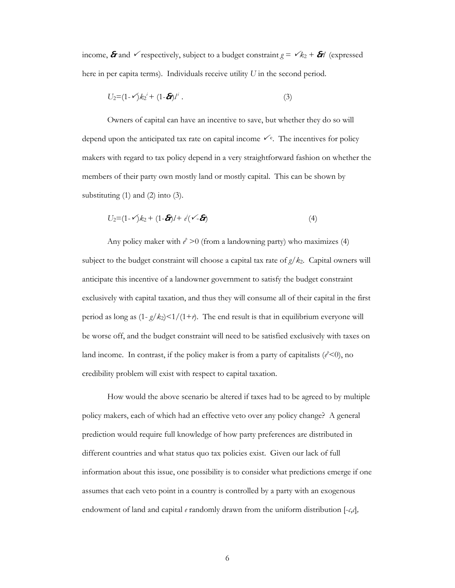income,  $\hat{\sigma}$  and  $\checkmark$  respectively, subject to a budget constraint  $g = \checkmark k_2 + \hat{\sigma}$ *l* (expressed here in per capita terms). Individuals receive utility *U* in the second period.

$$
U_2 = (1 - \sqrt{k_2}^i + (1 - \mathbf{G})^i) \tag{3}
$$

Owners of capital can have an incentive to save, but whether they do so will depend upon the anticipated tax rate on capital income  $\checkmark$ <sup>e</sup>. The incentives for policy makers with regard to tax policy depend in a very straightforward fashion on whether the members of their party own mostly land or mostly capital. This can be shown by substituting  $(1)$  and  $(2)$  into  $(3)$ .

$$
U_2=(1-\sqrt{k_2+(1-\delta)/+\dot{e}(\sqrt{-\delta})})
$$
\n(4)

Any policy maker with  $e^p > 0$  (from a landowning party) who maximizes (4) subject to the budget constraint will choose a capital tax rate of  $g/k<sub>2</sub>$ . Capital owners will anticipate this incentive of a landowner government to satisfy the budget constraint exclusively with capital taxation, and thus they will consume all of their capital in the first period as long as  $(1-g/k_2) < 1/(1+r)$ . The end result is that in equilibrium everyone will be worse off, and the budget constraint will need to be satisfied exclusively with taxes on land income. In contrast, if the policy maker is from a party of capitalists  $(e^{\lambda} < 0)$ , no credibility problem will exist with respect to capital taxation.

How would the above scenario be altered if taxes had to be agreed to by multiple policy makers, each of which had an effective veto over any policy change? A general prediction would require full knowledge of how party preferences are distributed in different countries and what status quo tax policies exist. Given our lack of full information about this issue, one possibility is to consider what predictions emerge if one assumes that each veto point in a country is controlled by a party with an exogenous endowment of land and capital *e* randomly drawn from the uniform distribution [-*c*,*c*]*,*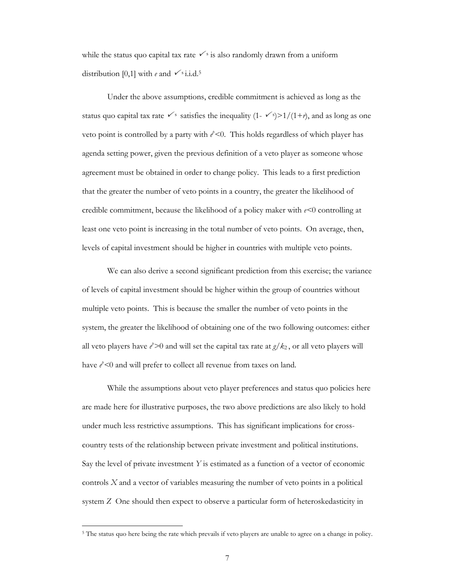while the status quo capital tax rate  $\checkmark$  is also randomly drawn from a uniform distribution [0,1] with *e* and  $\checkmark$ <sup>s</sup> i.i.d.<sup>5</sup>

Under the above assumptions, credible commitment is achieved as long as the status quo capital tax rate  $\checkmark$ <sup>s</sup> satisfies the inequality (1-  $\checkmark$ )>1/(1+*r*), and as long as one veto point is controlled by a party with  $e^t$ <0. This holds regardless of which player has agenda setting power, given the previous definition of a veto player as someone whose agreement must be obtained in order to change policy. This leads to a first prediction that the greater the number of veto points in a country, the greater the likelihood of credible commitment, because the likelihood of a policy maker with *e<*0 controlling at least one veto point is increasing in the total number of veto points. On average, then, levels of capital investment should be higher in countries with multiple veto points.

We can also derive a second significant prediction from this exercise; the variance of levels of capital investment should be higher within the group of countries without multiple veto points. This is because the smaller the number of veto points in the system, the greater the likelihood of obtaining one of the two following outcomes: either all veto players have  $e^{\phi}$  >0 and will set the capital tax rate at  $g/k_2$ , or all veto players will have  $e^{\theta}$ <0 and will prefer to collect all revenue from taxes on land.

While the assumptions about veto player preferences and status quo policies here are made here for illustrative purposes, the two above predictions are also likely to hold under much less restrictive assumptions. This has significant implications for crosscountry tests of the relationship between private investment and political institutions. Say the level of private investment *Y* is estimated as a function of a vector of economic controls *X* and a vector of variables measuring the number of veto points in a political system *Z* One should then expect to observe a particular form of heteroskedasticity in

 $\ddot{\phantom{a}}$ 

<sup>5</sup> The status quo here being the rate which prevails if veto players are unable to agree on a change in policy.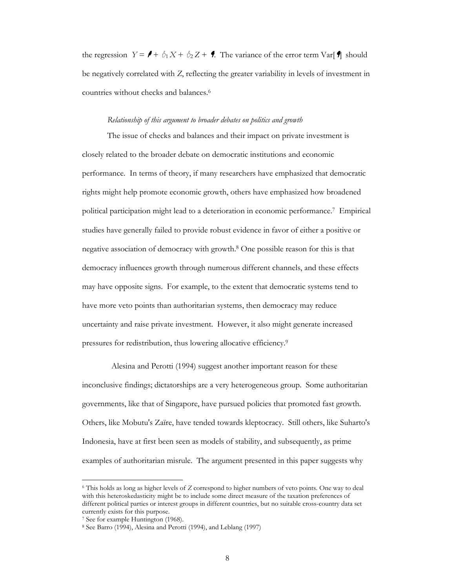the regression  $Y = \mathbf{I} + \mathbf{I}_1 X + \mathbf{I}_2 Z + \mathbf{I}$ . The variance of the error term Var[ $\mathbf{I}$ ] should be negatively correlated with *Z*, reflecting the greater variability in levels of investment in countries without checks and balances.6

#### *Relationship of this argument to broader debates on politics and growth*

The issue of checks and balances and their impact on private investment is closely related to the broader debate on democratic institutions and economic performance. In terms of theory, if many researchers have emphasized that democratic rights might help promote economic growth, others have emphasized how broadened political participation might lead to a deterioration in economic performance.7 Empirical studies have generally failed to provide robust evidence in favor of either a positive or negative association of democracy with growth.8 One possible reason for this is that democracy influences growth through numerous different channels, and these effects may have opposite signs. For example, to the extent that democratic systems tend to have more veto points than authoritarian systems, then democracy may reduce uncertainty and raise private investment. However, it also might generate increased pressures for redistribution, thus lowering allocative efficiency.9

 Alesina and Perotti (1994) suggest another important reason for these inconclusive findings; dictatorships are a very heterogeneous group. Some authoritarian governments, like that of Singapore, have pursued policies that promoted fast growth. Others, like Mobutu's Zaïre, have tended towards kleptocracy. Still others, like Suharto's Indonesia, have at first been seen as models of stability, and subsequently, as prime examples of authoritarian misrule. The argument presented in this paper suggests why

 $\overline{a}$ 

<sup>6</sup> This holds as long as higher levels of *Z* correspond to higher numbers of veto points. One way to deal with this heteroskedasticity might be to include some direct measure of the taxation preferences of different political parties or interest groups in different countries, but no suitable cross-country data set currently exists for this purpose.

<sup>7</sup> See for example Huntington (1968).

<sup>8</sup> See Barro (1994), Alesina and Perotti (1994), and Leblang (1997)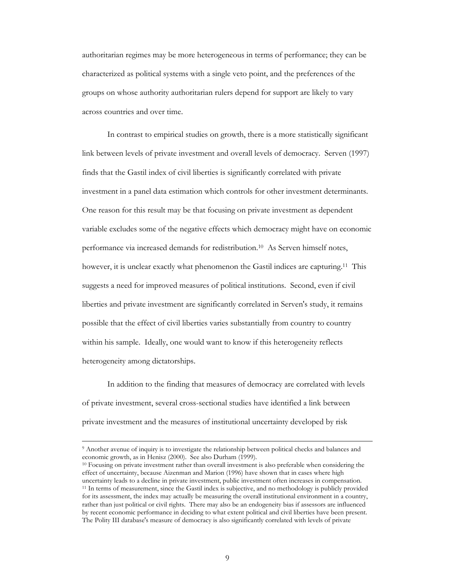authoritarian regimes may be more heterogeneous in terms of performance; they can be characterized as political systems with a single veto point, and the preferences of the groups on whose authority authoritarian rulers depend for support are likely to vary across countries and over time.

In contrast to empirical studies on growth, there is a more statistically significant link between levels of private investment and overall levels of democracy. Serven (1997) finds that the Gastil index of civil liberties is significantly correlated with private investment in a panel data estimation which controls for other investment determinants. One reason for this result may be that focusing on private investment as dependent variable excludes some of the negative effects which democracy might have on economic performance via increased demands for redistribution.<sup>10</sup> As Serven himself notes, however, it is unclear exactly what phenomenon the Gastil indices are capturing.<sup>11</sup> This suggests a need for improved measures of political institutions. Second, even if civil liberties and private investment are significantly correlated in Serven's study, it remains possible that the effect of civil liberties varies substantially from country to country within his sample. Ideally, one would want to know if this heterogeneity reflects heterogeneity among dictatorships.

In addition to the finding that measures of democracy are correlated with levels of private investment, several cross-sectional studies have identified a link between private investment and the measures of institutional uncertainty developed by risk

 <sup>9</sup> Another avenue of inquiry is to investigate the relationship between political checks and balances and economic growth, as in Henisz (2000). See also Durham (1999).<br><sup>10</sup> Focusing on private investment rather than overall investment is also preferable when considering the

effect of uncertainty, because Aizenman and Marion (1996) have shown that in cases where high uncertainty leads to a decline in private investment, public investment often increases in compensation. 11 In terms of measurement, since the Gastil index is subjective, and no methodology is publicly provided for its assessment, the index may actually be measuring the overall institutional environment in a country, rather than just political or civil rights. There may also be an endogeneity bias if assessors are influenced by recent economic performance in deciding to what extent political and civil liberties have been present. The Polity III database's measure of democracy is also significantly correlated with levels of private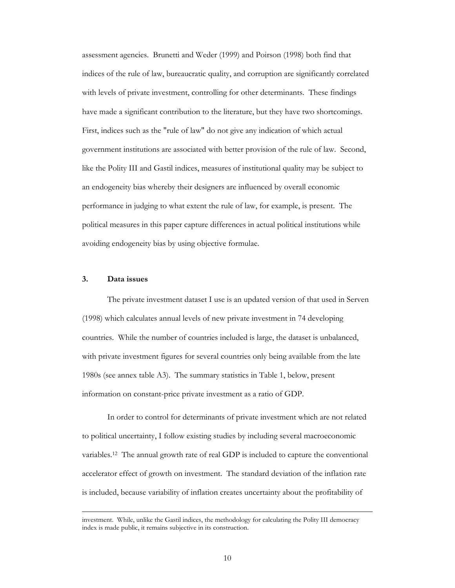assessment agencies. Brunetti and Weder (1999) and Poirson (1998) both find that indices of the rule of law, bureaucratic quality, and corruption are significantly correlated with levels of private investment, controlling for other determinants. These findings have made a significant contribution to the literature, but they have two shortcomings. First, indices such as the "rule of law" do not give any indication of which actual government institutions are associated with better provision of the rule of law. Second, like the Polity III and Gastil indices, measures of institutional quality may be subject to an endogeneity bias whereby their designers are influenced by overall economic performance in judging to what extent the rule of law, for example, is present. The political measures in this paper capture differences in actual political institutions while avoiding endogeneity bias by using objective formulae.

#### **3. Data issues**

The private investment dataset I use is an updated version of that used in Serven (1998) which calculates annual levels of new private investment in 74 developing countries. While the number of countries included is large, the dataset is unbalanced, with private investment figures for several countries only being available from the late 1980s (see annex table A3). The summary statistics in Table 1, below, present information on constant-price private investment as a ratio of GDP.

In order to control for determinants of private investment which are not related to political uncertainty, I follow existing studies by including several macroeconomic variables.12 The annual growth rate of real GDP is included to capture the conventional accelerator effect of growth on investment. The standard deviation of the inflation rate is included, because variability of inflation creates uncertainty about the profitability of

investment. While, unlike the Gastil indices, the methodology for calculating the Polity III democracy index is made public, it remains subjective in its construction.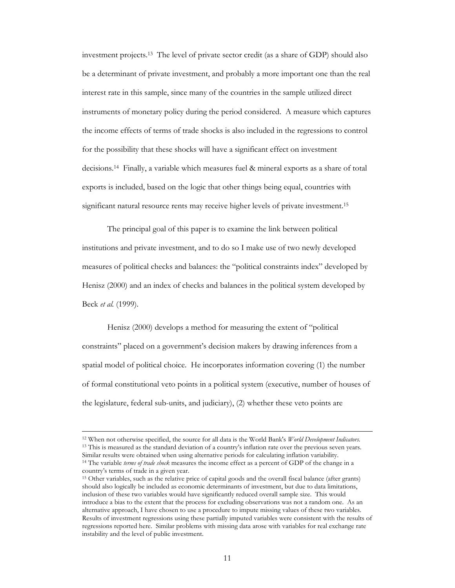investment projects.13 The level of private sector credit (as a share of GDP) should also be a determinant of private investment, and probably a more important one than the real interest rate in this sample, since many of the countries in the sample utilized direct instruments of monetary policy during the period considered. A measure which captures the income effects of terms of trade shocks is also included in the regressions to control for the possibility that these shocks will have a significant effect on investment decisions.14 Finally, a variable which measures fuel & mineral exports as a share of total exports is included, based on the logic that other things being equal, countries with significant natural resource rents may receive higher levels of private investment.15

The principal goal of this paper is to examine the link between political institutions and private investment, and to do so I make use of two newly developed measures of political checks and balances: the "political constraints index" developed by Henisz (2000) and an index of checks and balances in the political system developed by Beck *et al.* (1999).

Henisz (2000) develops a method for measuring the extent of "political constraints" placed on a government's decision makers by drawing inferences from a spatial model of political choice. He incorporates information covering (1) the number of formal constitutional veto points in a political system (executive, number of houses of the legislature, federal sub-units, and judiciary), (2) whether these veto points are

 <sup>12</sup> When not otherwise specified, the source for all data is the World Bank's *World Development Indicators.* <sup>13</sup> This is measured as the standard deviation of a country's inflation rate over the previous seven years. Similar results were obtained when using alternative periods for calculating inflation variability. 14 The variable *terms of trade shock* measures the income effect as a percent of GDP of the change in a country's terms of trade in a given year.

<sup>15</sup> Other variables, such as the relative price of capital goods and the overall fiscal balance (after grants) should also logically be included as economic determinants of investment, but due to data limitations, inclusion of these two variables would have significantly reduced overall sample size. This would introduce a bias to the extent that the process for excluding observations was not a random one. As an alternative approach, I have chosen to use a procedure to impute missing values of these two variables. Results of investment regressions using these partially imputed variables were consistent with the results of regressions reported here. Similar problems with missing data arose with variables for real exchange rate instability and the level of public investment.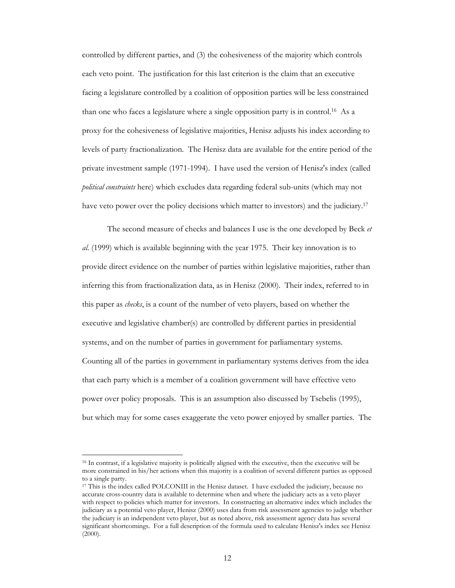controlled by different parties, and (3) the cohesiveness of the majority which controls each veto point. The justification for this last criterion is the claim that an executive facing a legislature controlled by a coalition of opposition parties will be less constrained than one who faces a legislature where a single opposition party is in control.<sup>16</sup> As a proxy for the cohesiveness of legislative majorities, Henisz adjusts his index according to levels of party fractionalization. The Henisz data are available for the entire period of the private investment sample (1971-1994). I have used the version of Henisz's index (called *political constraints* here) which excludes data regarding federal sub-units (which may not have veto power over the policy decisions which matter to investors) and the judiciary.<sup>17</sup>

 The second measure of checks and balances I use is the one developed by Beck *et al*. (1999) which is available beginning with the year 1975. Their key innovation is to provide direct evidence on the number of parties within legislative majorities, rather than inferring this from fractionalization data, as in Henisz (2000). Their index, referred to in this paper as *checks*, is a count of the number of veto players, based on whether the executive and legislative chamber(s) are controlled by different parties in presidential systems, and on the number of parties in government for parliamentary systems. Counting all of the parties in government in parliamentary systems derives from the idea that each party which is a member of a coalition government will have effective veto power over policy proposals. This is an assumption also discussed by Tsebelis (1995), but which may for some cases exaggerate the veto power enjoyed by smaller parties. The

 $\overline{a}$ 

<sup>16</sup> In contrast, if a legislative majority is politically aligned with the executive, then the executive will be more constrained in his/her actions when this majority is a coalition of several different parties as opposed to a single party.

<sup>17</sup> This is the index called POLCONIII in the Henisz dataset. I have excluded the judiciary, because no accurate cross-country data is available to determine when and where the judiciary acts as a veto player with respect to policies which matter for investors. In constructing an alternative index which includes the judiciary as a potential veto player, Henisz (2000) uses data from risk assessment agencies to judge whether the judiciary is an independent veto player, but as noted above, risk assessment agency data has several significant shortcomings. For a full description of the formula used to calculate Henisz's index see Henisz (2000).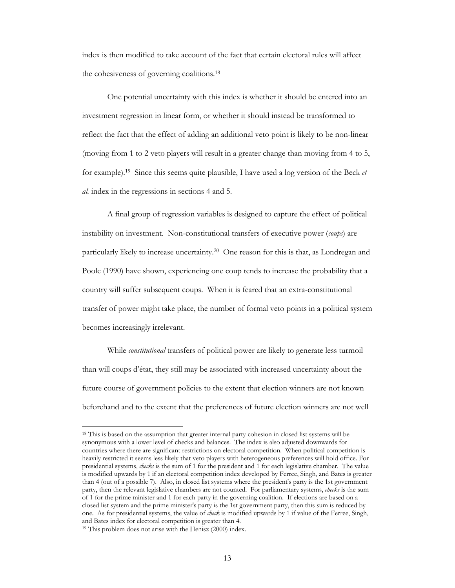index is then modified to take account of the fact that certain electoral rules will affect the cohesiveness of governing coalitions.18

One potential uncertainty with this index is whether it should be entered into an investment regression in linear form, or whether it should instead be transformed to reflect the fact that the effect of adding an additional veto point is likely to be non-linear (moving from 1 to 2 veto players will result in a greater change than moving from 4 to 5, for example).19 Since this seems quite plausible, I have used a log version of the Beck *et al.* index in the regressions in sections 4 and 5.

 A final group of regression variables is designed to capture the effect of political instability on investment. Non-constitutional transfers of executive power (*coups*) are particularly likely to increase uncertainty.20 One reason for this is that, as Londregan and Poole (1990) have shown, experiencing one coup tends to increase the probability that a country will suffer subsequent coups. When it is feared that an extra-constitutional transfer of power might take place, the number of formal veto points in a political system becomes increasingly irrelevant.

While *constitutional* transfers of political power are likely to generate less turmoil than will coups d'état, they still may be associated with increased uncertainty about the future course of government policies to the extent that election winners are not known beforehand and to the extent that the preferences of future election winners are not well

 $\overline{a}$ 

<sup>&</sup>lt;sup>18</sup> This is based on the assumption that greater internal party cohesion in closed list systems will be synonymous with a lower level of checks and balances. The index is also adjusted downwards for countries where there are significant restrictions on electoral competition. When political competition is heavily restricted it seems less likely that veto players with heterogeneous preferences will hold office. For presidential systems, *checks* is the sum of 1 for the president and 1 for each legislative chamber. The value is modified upwards by 1 if an electoral competition index developed by Ferree, Singh, and Bates is greater than 4 (out of a possible 7). Also, in closed list systems where the president's party is the 1st government party, then the relevant legislative chambers are not counted. For parliamentary systems, *checks* is the sum of 1 for the prime minister and 1 for each party in the governing coalition. If elections are based on a closed list system and the prime minister's party is the 1st government party, then this sum is reduced by one. As for presidential systems, the value of *check* is modified upwards by 1 if value of the Ferree, Singh, and Bates index for electoral competition is greater than 4. 19 This problem does not arise with the Henisz (2000) index.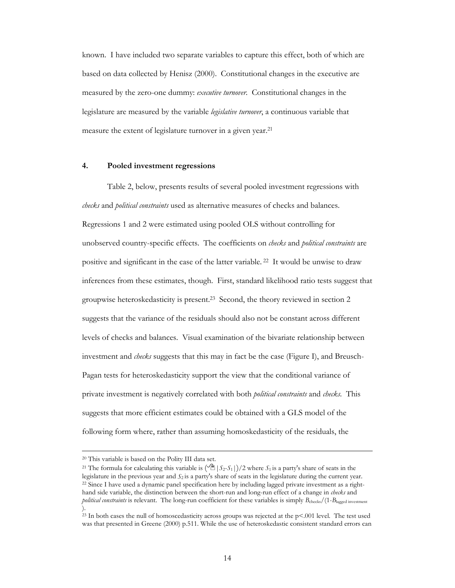known. I have included two separate variables to capture this effect, both of which are based on data collected by Henisz (2000). Constitutional changes in the executive are measured by the zero-one dummy: *executive turnover*. Constitutional changes in the legislature are measured by the variable *legislative turnover*, a continuous variable that measure the extent of legislature turnover in a given year.<sup>21</sup>

#### **4. Pooled investment regressions**

Table 2, below, presents results of several pooled investment regressions with *checks* and *political constraints* used as alternative measures of checks and balances. Regressions 1 and 2 were estimated using pooled OLS without controlling for unobserved country-specific effects. The coefficients on *checks* and *political constraints* are positive and significant in the case of the latter variable. 22 It would be unwise to draw inferences from these estimates, though. First, standard likelihood ratio tests suggest that groupwise heteroskedasticity is present.23 Second, the theory reviewed in section 2 suggests that the variance of the residuals should also not be constant across different levels of checks and balances. Visual examination of the bivariate relationship between investment and *checks* suggests that this may in fact be the case (Figure I), and Breusch-Pagan tests for heteroskedasticity support the view that the conditional variance of private investment is negatively correlated with both *political constraints* and *checks*. This suggests that more efficient estimates could be obtained with a GLS model of the following form where, rather than assuming homoskedasticity of the residuals, the

 <sup>20</sup> This variable is based on the Polity III data set.

<sup>&</sup>lt;sup>21</sup> The formula for calculating this variable is  $\left(\frac{1}{2}\right)$   $\left(\frac{5}{2}-S_1\right)/2$  where  $S_1$  is a party's share of seats in the legislature in the previous year and  $S_2$  is a party's share of seats in the legislature during the current year.<br><sup>22</sup> Since I have used a dynamic panel specification here by including lagged private investment as a righ hand side variable, the distinction between the short-run and long-run effect of a change in *checks* and *political constraints* is relevant. The long-run coefficient for these variables is simply  $B_{\text{checks}}/(1-B_{\text{laged investment}})$ ).

<sup>&</sup>lt;sup>23</sup> In both cases the null of homoscedasticity across groups was rejected at the  $p<.001$  level. The test used was that presented in Greene (2000) p.511. While the use of heteroskedastic consistent standard errors can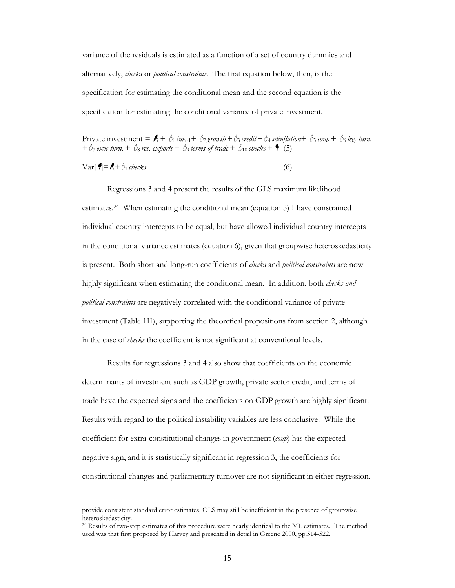variance of the residuals is estimated as a function of a set of country dummies and alternatively, *checks* or *political constraints.* The first equation below, then, is the specification for estimating the conditional mean and the second equation is the specification for estimating the conditional variance of private investment.

Private investment =  $\mathbf{f}_1 + \delta_1$  *inv*<sub>t-1</sub>+  $\delta_2$  *growth* +  $\delta_3$  *credit* +  $\delta_4$  *sdinflation*+  $\delta_5$  *coup* +  $\delta_6$  *leg. turn.*  $+ \beta_7$  *exec turn.*  $+ \beta_8$  *res. exports*  $+ \beta_9$  *terms of trade*  $+ \beta_{10}$  *checks*  $+ \bullet (5)$ 

$$
Var[\mathbf{\mathcal{I}}] = \mathbf{\mathcal{I}}_i + \mathbf{\mathcal{L}}_1 \text{ checks}
$$
 (6)

Regressions 3 and 4 present the results of the GLS maximum likelihood estimates.24 When estimating the conditional mean (equation 5) I have constrained individual country intercepts to be equal, but have allowed individual country intercepts in the conditional variance estimates (equation 6), given that groupwise heteroskedasticity is present. Both short and long-run coefficients of *checks* and *political constraints* are now highly significant when estimating the conditional mean. In addition, both *checks and political constraints* are negatively correlated with the conditional variance of private investment (Table 1II), supporting the theoretical propositions from section 2, although in the case of *checks* the coefficient is not significant at conventional levels.

Results for regressions 3 and 4 also show that coefficients on the economic determinants of investment such as GDP growth, private sector credit, and terms of trade have the expected signs and the coefficients on GDP growth are highly significant. Results with regard to the political instability variables are less conclusive. While the coefficient for extra-constitutional changes in government (*coup*) has the expected negative sign, and it is statistically significant in regression 3, the coefficients for constitutional changes and parliamentary turnover are not significant in either regression.

provide consistent standard error estimates, OLS may still be inefficient in the presence of groupwise heteroskedasticity.

<sup>&</sup>lt;sup>24</sup> Results of two-step estimates of this procedure were nearly identical to the ML estimates. The method used was that first proposed by Harvey and presented in detail in Greene 2000, pp.514-522.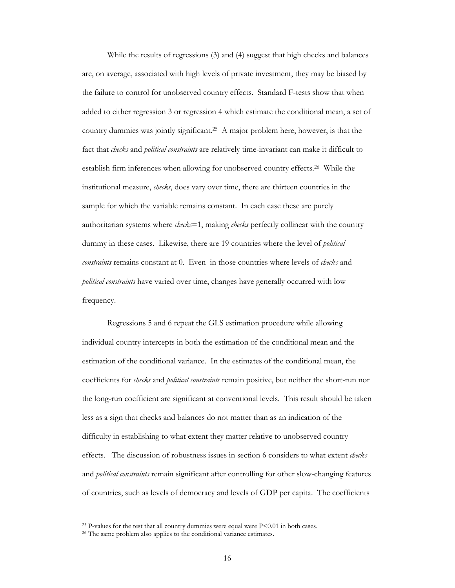While the results of regressions (3) and (4) suggest that high checks and balances are, on average, associated with high levels of private investment, they may be biased by the failure to control for unobserved country effects. Standard F-tests show that when added to either regression 3 or regression 4 which estimate the conditional mean, a set of country dummies was jointly significant.25 A major problem here, however, is that the fact that *checks* and *political constraints* are relatively time-invariant can make it difficult to establish firm inferences when allowing for unobserved country effects.26 While the institutional measure, *checks*, does vary over time, there are thirteen countries in the sample for which the variable remains constant. In each case these are purely authoritarian systems where *checks*=1, making *checks* perfectly collinear with the country dummy in these cases. Likewise, there are 19 countries where the level of *political constraints* remains constant at 0. Even in those countries where levels of *checks* and *political constraints* have varied over time, changes have generally occurred with low frequency.

Regressions 5 and 6 repeat the GLS estimation procedure while allowing individual country intercepts in both the estimation of the conditional mean and the estimation of the conditional variance. In the estimates of the conditional mean, the coefficients for *checks* and *political constraints* remain positive, but neither the short-run nor the long-run coefficient are significant at conventional levels. This result should be taken less as a sign that checks and balances do not matter than as an indication of the difficulty in establishing to what extent they matter relative to unobserved country effects. The discussion of robustness issues in section 6 considers to what extent *checks*  and *political constraints* remain significant after controlling for other slow-changing features of countries, such as levels of democracy and levels of GDP per capita. The coefficients

 $\ddot{ }$ 

<sup>&</sup>lt;sup>25</sup> P-values for the test that all country dummies were equal were  $P<0.01$  in both cases. <sup>26</sup> The same problem also applies to the conditional variance estimates.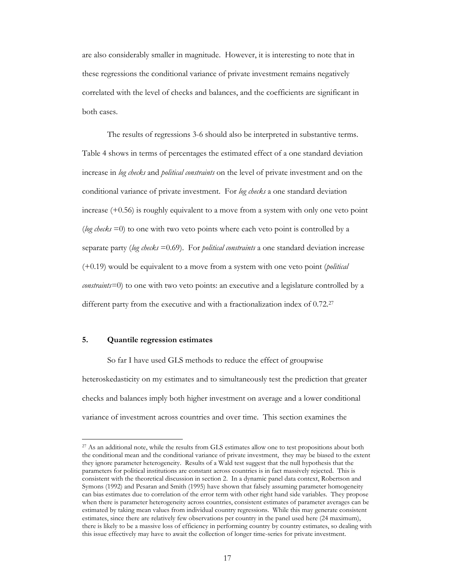are also considerably smaller in magnitude. However, it is interesting to note that in these regressions the conditional variance of private investment remains negatively correlated with the level of checks and balances, and the coefficients are significant in both cases.

The results of regressions 3-6 should also be interpreted in substantive terms. Table 4 shows in terms of percentages the estimated effect of a one standard deviation increase in *log checks* and *political constraints* on the level of private investment and on the conditional variance of private investment. For *log checks* a one standard deviation increase (+0.56) is roughly equivalent to a move from a system with only one veto point (*log checks* =0) to one with two veto points where each veto point is controlled by a separate party (*log checks* =0.69). For *political constraints* a one standard deviation increase (+0.19) would be equivalent to a move from a system with one veto point (*political constraints=*0) to one with two veto points: an executive and a legislature controlled by a different party from the executive and with a fractionalization index of 0.72.<sup>27</sup>

#### **5. Quantile regression estimates**

 $\ddot{ }$ 

 So far I have used GLS methods to reduce the effect of groupwise heteroskedasticity on my estimates and to simultaneously test the prediction that greater checks and balances imply both higher investment on average and a lower conditional variance of investment across countries and over time. This section examines the

<sup>&</sup>lt;sup>27</sup> As an additional note, while the results from GLS estimates allow one to test propositions about both the conditional mean and the conditional variance of private investment, they may be biased to the extent they ignore parameter heterogeneity. Results of a Wald test suggest that the null hypothesis that the parameters for political institutions are constant across countries is in fact massively rejected. This is consistent with the theoretical discussion in section 2. In a dynamic panel data context, Robertson and Symons (1992) and Pesaran and Smith (1995) have shown that falsely assuming parameter homogeneity can bias estimates due to correlation of the error term with other right hand side variables. They propose when there is parameter heterogeneity across countries, consistent estimates of parameter averages can be estimated by taking mean values from individual country regressions. While this may generate consistent estimates, since there are relatively few observations per country in the panel used here (24 maximum), there is likely to be a massive loss of efficiency in performing country by country estimates, so dealing with this issue effectively may have to await the collection of longer time-series for private investment.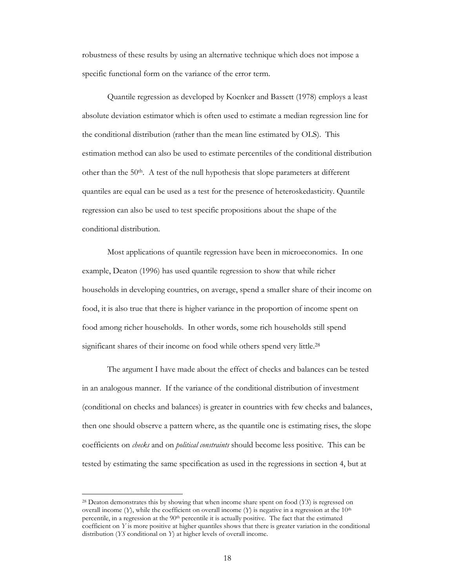robustness of these results by using an alternative technique which does not impose a specific functional form on the variance of the error term.

Quantile regression as developed by Koenker and Bassett (1978) employs a least absolute deviation estimator which is often used to estimate a median regression line for the conditional distribution (rather than the mean line estimated by OLS). This estimation method can also be used to estimate percentiles of the conditional distribution other than the  $50<sup>th</sup>$ . A test of the null hypothesis that slope parameters at different quantiles are equal can be used as a test for the presence of heteroskedasticity. Quantile regression can also be used to test specific propositions about the shape of the conditional distribution.

Most applications of quantile regression have been in microeconomics. In one example, Deaton (1996) has used quantile regression to show that while richer households in developing countries, on average, spend a smaller share of their income on food, it is also true that there is higher variance in the proportion of income spent on food among richer households. In other words, some rich households still spend significant shares of their income on food while others spend very little.<sup>28</sup>

The argument I have made about the effect of checks and balances can be tested in an analogous manner. If the variance of the conditional distribution of investment (conditional on checks and balances) is greater in countries with few checks and balances, then one should observe a pattern where, as the quantile one is estimating rises, the slope coefficients on *checks* and on *political constraints* should become less positive. This can be tested by estimating the same specification as used in the regressions in section 4, but at

 $\ddot{ }$ 

<sup>28</sup> Deaton demonstrates this by showing that when income share spent on food (*YS*) is regressed on overall income  $(Y)$ , while the coefficient on overall income  $(Y)$  is negative in a regression at the 10<sup>th</sup> percentile, in a regression at the 90<sup>th</sup> percentile it is actually positive. The fact that the estimated coefficient on *Y* is more positive at higher quantiles shows that there is greater variation in the conditional distribution (*YS* conditional on *Y*) at higher levels of overall income.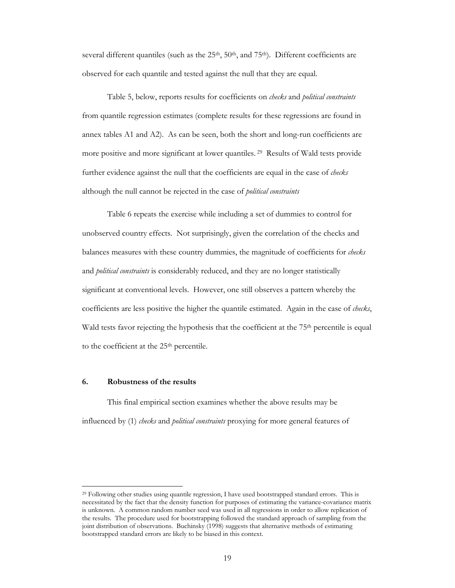several different quantiles (such as the  $25<sup>th</sup>$ ,  $50<sup>th</sup>$ , and  $75<sup>th</sup>$ ). Different coefficients are observed for each quantile and tested against the null that they are equal.

Table 5, below, reports results for coefficients on *checks* and *political constraints*  from quantile regression estimates (complete results for these regressions are found in annex tables A1 and A2). As can be seen, both the short and long-run coefficients are more positive and more significant at lower quantiles. 29 Results of Wald tests provide further evidence against the null that the coefficients are equal in the case of *checks*  although the null cannot be rejected in the case of *political constraints* 

Table 6 repeats the exercise while including a set of dummies to control for unobserved country effects. Not surprisingly, given the correlation of the checks and balances measures with these country dummies, the magnitude of coefficients for *checks*  and *political constraints* is considerably reduced, and they are no longer statistically significant at conventional levels. However, one still observes a pattern whereby the coefficients are less positive the higher the quantile estimated. Again in the case of *checks*, Wald tests favor rejecting the hypothesis that the coefficient at the 75<sup>th</sup> percentile is equal to the coefficient at the 25<sup>th</sup> percentile.

#### **6. Robustness of the results**

 $\ddot{ }$ 

This final empirical section examines whether the above results may be influenced by (1) *checks* and *political constraints* proxying for more general features of

<sup>&</sup>lt;sup>29</sup> Following other studies using quantile regression, I have used bootstrapped standard errors. This is necessitated by the fact that the density function for purposes of estimating the variance-covariance matrix is unknown. A common random number seed was used in all regressions in order to allow replication of the results. The procedure used for bootstrapping followed the standard approach of sampling from the joint distribution of observations. Buchinsky (1998) suggests that alternative methods of estimating bootstrapped standard errors are likely to be biased in this context.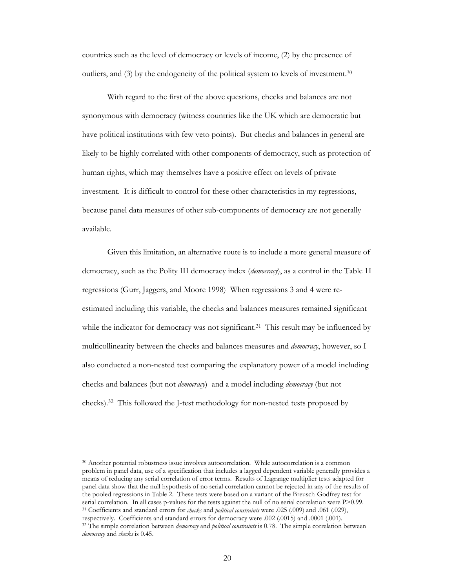countries such as the level of democracy or levels of income, (2) by the presence of outliers, and (3) by the endogeneity of the political system to levels of investment.30

With regard to the first of the above questions, checks and balances are not synonymous with democracy (witness countries like the UK which are democratic but have political institutions with few veto points). But checks and balances in general are likely to be highly correlated with other components of democracy, such as protection of human rights, which may themselves have a positive effect on levels of private investment. It is difficult to control for these other characteristics in my regressions, because panel data measures of other sub-components of democracy are not generally available.

Given this limitation, an alternative route is to include a more general measure of democracy, such as the Polity III democracy index (*democracy*), as a control in the Table 1I regressions (Gurr, Jaggers, and Moore 1998) When regressions 3 and 4 were reestimated including this variable, the checks and balances measures remained significant while the indicator for democracy was not significant.<sup>31</sup> This result may be influenced by multicollinearity between the checks and balances measures and *democracy*, however, so I also conducted a non-nested test comparing the explanatory power of a model including checks and balances (but not *democracy*) and a model including *democracy* (but not checks).32 This followed the J-test methodology for non-nested tests proposed by

30 Another potential robustness issue involves autocorrelation. While autocorrelation is a common problem in panel data, use of a specification that includes a lagged dependent variable generally provides a means of reducing any serial correlation of error terms. Results of Lagrange multiplier tests adapted for panel data show that the null hypothesis of no serial correlation cannot be rejected in any of the results of the pooled regressions in Table 2. These tests were based on a variant of the Breusch-Godfrey test for serial correlation. In all cases p-values for the tests against the null of no serial correlation were P>0.99.<br><sup>31</sup> Coefficients and standard errors for *checks* and *political constraints* were .025 (.009) and .061 (.029) <sup>32</sup> The simple correlation between *democracy* and *political constraints* is 0.78. The simple correlation between

 $\overline{a}$ 

*democracy* and *checks* is 0.45.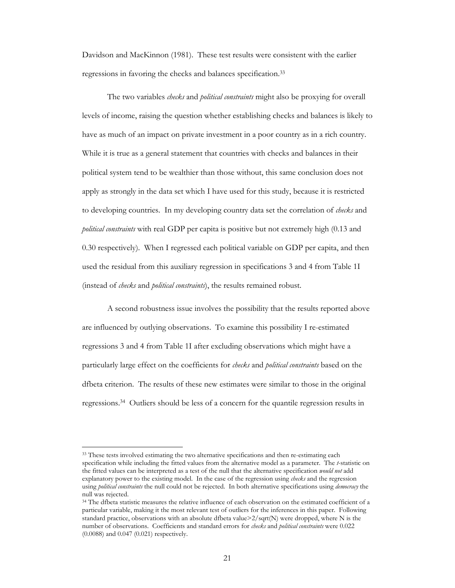Davidson and MacKinnon (1981). These test results were consistent with the earlier regressions in favoring the checks and balances specification.33

The two variables *checks* and *political constraints* might also be proxying for overall levels of income, raising the question whether establishing checks and balances is likely to have as much of an impact on private investment in a poor country as in a rich country. While it is true as a general statement that countries with checks and balances in their political system tend to be wealthier than those without, this same conclusion does not apply as strongly in the data set which I have used for this study, because it is restricted to developing countries. In my developing country data set the correlation of *checks* and *political constraints* with real GDP per capita is positive but not extremely high (0.13 and 0.30 respectively). When I regressed each political variable on GDP per capita, and then used the residual from this auxiliary regression in specifications 3 and 4 from Table 1I (instead of *checks* and *political constraints*), the results remained robust.

A second robustness issue involves the possibility that the results reported above are influenced by outlying observations. To examine this possibility I re-estimated regressions 3 and 4 from Table 1I after excluding observations which might have a particularly large effect on the coefficients for *checks* and *political constraints* based on the dfbeta criterion. The results of these new estimates were similar to those in the original regressions.34 Outliers should be less of a concern for the quantile regression results in

 $\ddot{ }$ 

<sup>&</sup>lt;sup>33</sup> These tests involved estimating the two alternative specifications and then re-estimating each specification while including the fitted values from the alternative model as a parameter. The *t*-statistic on the fitted values can be interpreted as a test of the null that the alternative specification *would not* add explanatory power to the existing model. In the case of the regression using *checks* and the regression using *political constraints* the null could not be rejected. In both alternative specifications using *democracy* the null was rejected.

<sup>&</sup>lt;sup>34</sup> The dfbeta statistic measures the relative influence of each observation on the estimated coefficient of a particular variable, making it the most relevant test of outliers for the inferences in this paper. Following standard practice, observations with an absolute dfbeta value>2/sqrt(N) were dropped, where N is the number of observations. Coefficients and standard errors for *checks* and *political constraints* were 0.022 (0.0088) and 0.047 (0.021) respectively.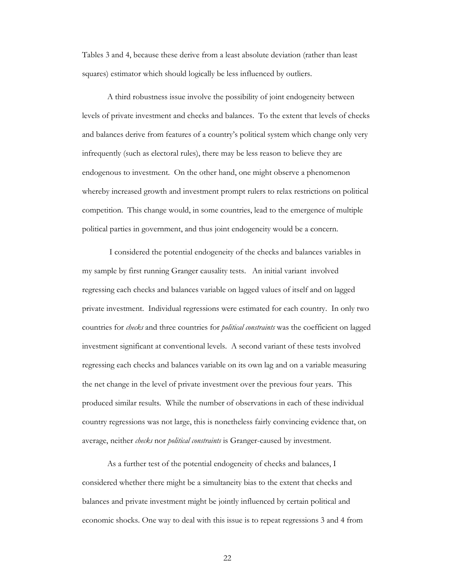Tables 3 and 4, because these derive from a least absolute deviation (rather than least squares) estimator which should logically be less influenced by outliers.

A third robustness issue involve the possibility of joint endogeneity between levels of private investment and checks and balances. To the extent that levels of checks and balances derive from features of a country's political system which change only very infrequently (such as electoral rules), there may be less reason to believe they are endogenous to investment. On the other hand, one might observe a phenomenon whereby increased growth and investment prompt rulers to relax restrictions on political competition. This change would, in some countries, lead to the emergence of multiple political parties in government, and thus joint endogeneity would be a concern.

 I considered the potential endogeneity of the checks and balances variables in my sample by first running Granger causality tests. An initial variant involved regressing each checks and balances variable on lagged values of itself and on lagged private investment. Individual regressions were estimated for each country. In only two countries for *checks* and three countries for *political constraints* was the coefficient on lagged investment significant at conventional levels. A second variant of these tests involved regressing each checks and balances variable on its own lag and on a variable measuring the net change in the level of private investment over the previous four years. This produced similar results*.* While the number of observations in each of these individual country regressions was not large, this is nonetheless fairly convincing evidence that, on average, neither *checks* nor *political constraints* is Granger-caused by investment.

As a further test of the potential endogeneity of checks and balances, I considered whether there might be a simultaneity bias to the extent that checks and balances and private investment might be jointly influenced by certain political and economic shocks. One way to deal with this issue is to repeat regressions 3 and 4 from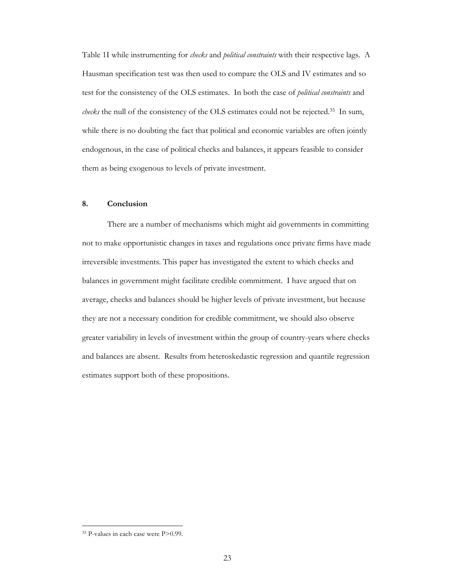Table 1I while instrumenting for *checks* and *political constraints* with their respective lags. A Hausman specification test was then used to compare the OLS and IV estimates and so test for the consistency of the OLS estimates. In both the case of *political constraints* and *checks* the null of the consistency of the OLS estimates could not be rejected.35 In sum, while there is no doubting the fact that political and economic variables are often jointly endogenous, in the case of political checks and balances, it appears feasible to consider them as being exogenous to levels of private investment.

#### **8. Conclusion**

There are a number of mechanisms which might aid governments in committing not to make opportunistic changes in taxes and regulations once private firms have made irreversible investments. This paper has investigated the extent to which checks and balances in government might facilitate credible commitment. I have argued that on average, checks and balances should be higher levels of private investment, but because they are not a necessary condition for credible commitment, we should also observe greater variability in levels of investment within the group of country-years where checks and balances are absent. Results from heteroskedastic regression and quantile regression estimates support both of these propositions.

 $\ddot{ }$ 

<sup>35</sup> P-values in each case were P>0.99.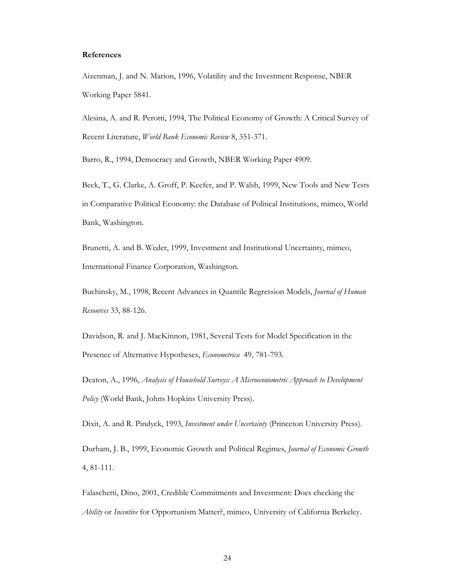#### **References**

Aizenman, J. and N. Marion, 1996, Volatility and the Investment Response, NBER Working Paper 5841.

Alesina, A. and R. Perotti, 1994, The Political Economy of Growth: A Critical Survey of Recent Literature, *World Bank Economic Review* 8, 351-371.

Barro, R., 1994, Democracy and Growth, NBER Working Paper 4909.

Beck, T., G. Clarke, A. Groff, P. Keefer, and P. Walsh, 1999, New Tools and New Tests in Comparative Political Economy: the Database of Political Institutions, mimeo, World Bank, Washington.

Brunetti, A. and B. Weder, 1999, Investment and Institutional Uncertainty, mimeo, International Finance Corporation, Washington.

Buchinsky, M., 1998, Recent Advances in Quantile Regression Models, *Journal of Human Resources* 33, 88-126.

Davidson, R. and J. MacKinnon, 1981, Several Tests for Model Specification in the Presence of Alternative Hypotheses, *Econometrica* 49, 781-793.

Deaton, A., 1996, *Analysis of Household Surveys: A Microeconometric Approach to Development Policy* (World Bank, Johns Hopkins University Press).

Dixit, A. and R. Pindyck, 1993, *Investment under Uncertainty* (Princeton University Press).

Durham, J. B., 1999, Economic Growth and Political Regimes, *Journal of Economic Growth* 4, 81-111.

Falaschetti, Dino, 2001, Credible Commitments and Investment: Does checking the *Ability* or *Incentive* for Opportunism Matter?, mimeo, University of California Berkeley.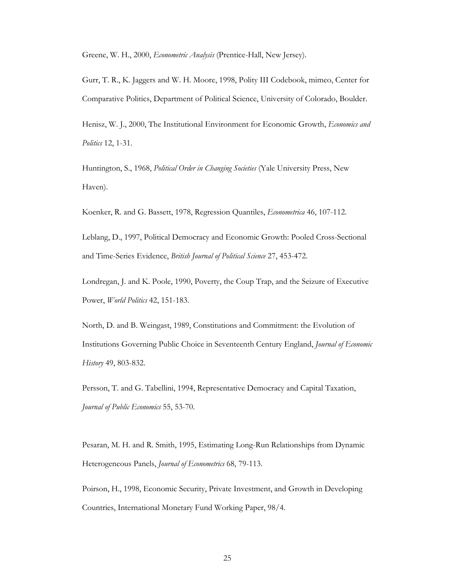Greene, W. H., 2000, *Econometric Analysis* (Prentice-Hall, New Jersey).

Gurr, T. R., K. Jaggers and W. H. Moore, 1998, Polity III Codebook, mimeo, Center for Comparative Politics, Department of Political Science, University of Colorado, Boulder.

Henisz, W. J., 2000, The Institutional Environment for Economic Growth, *Economics and Politics* 12, 1-31.

Huntington, S., 1968, *Political Order in Changing Societies* (Yale University Press, New Haven).

Koenker, R. and G. Bassett, 1978, Regression Quantiles, *Econometrica* 46, 107-112.

Leblang, D., 1997, Political Democracy and Economic Growth: Pooled Cross-Sectional and Time-Series Evidence, *British Journal of Political Science* 27, 453-472.

Londregan, J. and K. Poole, 1990, Poverty, the Coup Trap, and the Seizure of Executive Power, *World Politics* 42, 151-183.

North, D. and B. Weingast, 1989, Constitutions and Commitment: the Evolution of Institutions Governing Public Choice in Seventeenth Century England, *Journal of Economic History* 49, 803-832.

Persson, T. and G. Tabellini, 1994, Representative Democracy and Capital Taxation, *Journal of Public Economics* 55, 53-70.

Pesaran, M. H. and R. Smith, 1995, Estimating Long-Run Relationships from Dynamic Heterogeneous Panels, *Journal of Econometrics* 68, 79-113.

Poirson, H., 1998, Economic Security, Private Investment, and Growth in Developing Countries, International Monetary Fund Working Paper, 98/4.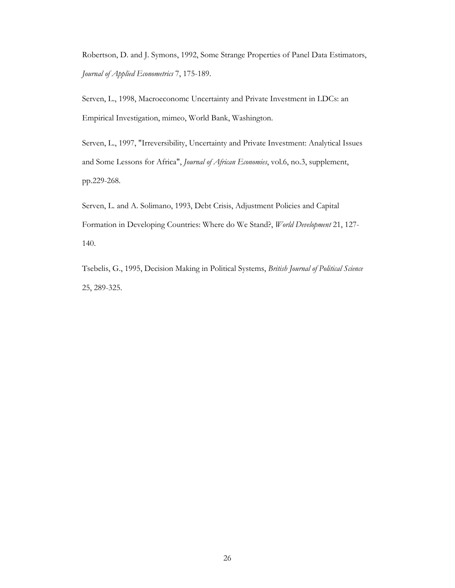Robertson, D. and J. Symons, 1992, Some Strange Properties of Panel Data Estimators, *Journal of Applied Econometrics* 7, 175-189.

Serven, L., 1998, Macroeconomc Uncertainty and Private Investment in LDCs: an Empirical Investigation, mimeo, World Bank, Washington.

Serven, L., 1997, "Irreversibility, Uncertainty and Private Investment: Analytical Issues and Some Lessons for Africa", *Journal of African Economies*, vol.6, no.3, supplement, pp.229-268.

Serven, L. and A. Solimano, 1993, Debt Crisis, Adjustment Policies and Capital Formation in Developing Countries: Where do We Stand?, *World Development* 21, 127- 140.

Tsebelis, G., 1995, Decision Making in Political Systems, *British Journal of Political Science*  25, 289-325.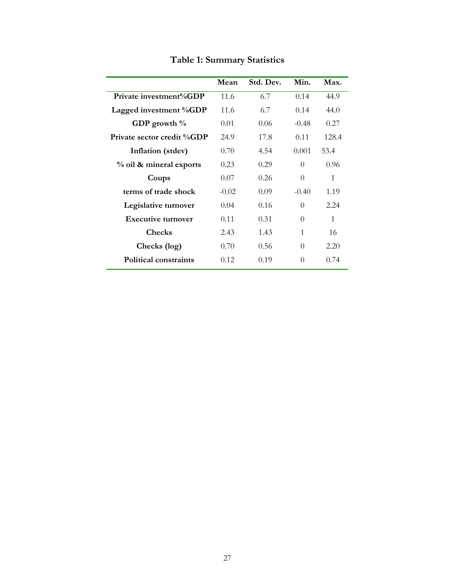|                            | Mean    | Std. Dev. | Min.     | Max.  |
|----------------------------|---------|-----------|----------|-------|
| Private investment%GDP     | 11.6    | 6.7       | 0.14     | 44.9  |
| Lagged investment %GDP     | 11.6    | 6.7       | 0.14     | 44.0  |
| GDP growth $\%$            | 0.01    | 0.06      | $-0.48$  | 0.27  |
| Private sector credit %GDP | 24.9    | 17.8      | 0.11     | 128.4 |
| Inflation (stdev)          | 0.70    | 4.54      | 0.001    | 53.4  |
| % oil & mineral exports    | 0.23    | 0.29      | $\Omega$ | 0.96  |
| Coups                      | 0.07    | 0.26      | $\Omega$ | 1     |
| terms of trade shock       | $-0.02$ | 0.09      | $-0.40$  | 1.19  |
| Legislative turnover       | 0.04    | 0.16      | $\Omega$ | 2.24  |
| <b>Executive turnover</b>  | 0.11    | 0.31      | $\Omega$ | 1     |
| <b>Checks</b>              | 2.43    | 1.43      | 1        | 16    |
| Checks (log)               | 0.70    | 0.56      | $\Omega$ | 2.20  |
| Political constraints      | 0.12    | 0.19      | 0        | 0.74  |

**Table 1: Summary Statistics**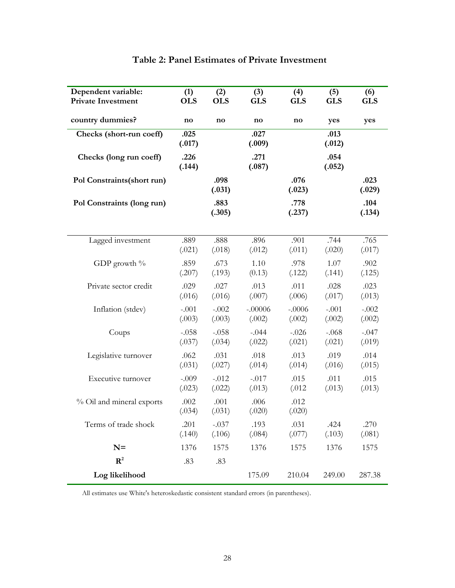| Dependent variable:         | (1)            | (2)            | (3)            | (4)            | (5)            | (6)            |
|-----------------------------|----------------|----------------|----------------|----------------|----------------|----------------|
| <b>Private Investment</b>   | <b>OLS</b>     | <b>OLS</b>     | <b>GLS</b>     | <b>GLS</b>     | <b>GLS</b>     | <b>GLS</b>     |
| country dummies?            | no             | no             | no             | no             | yes            | yes            |
| Checks (short-run coeff)    | .025<br>(.017) |                | .027<br>(.009) |                | .013<br>(.012) |                |
| Checks (long run coeff)     | .226<br>(.144) |                | .271<br>(.087) |                | .054<br>(.052) |                |
| Pol Constraints (short run) |                | .098<br>(.031) |                | .076<br>(.023) |                | .023<br>(.029) |
| Pol Constraints (long run)  |                | .883<br>(.305) |                | .778<br>(.237) |                | .104<br>(.134) |
| Lagged investment           | .889           | .888           | .896           | .901           | .744           | .765           |
|                             | (.021)         | (.018)         | (.012)         | (.011)         | (.020)         | (.017)         |
| GDP growth $\%$             | .859           | .673           | 1.10           | .978           | 1.07           | .902           |
|                             | (.207)         | (.193)         | (0.13)         | (.122)         | (.141)         | (.125)         |
| Private sector credit       | .029           | .027           | .013           | .011           | .028           | .023           |
|                             | (.016)         | (.016)         | (.007)         | (.006)         | (.017)         | (.013)         |
| Inflation (stdev)           | $-.001$        | $-.002$        | $-.00006$      | $-.0006$       | $-.001$        | $-.002$        |
|                             | (.003)         | (.003)         | (.002)         | (.002)         | (.002)         | (.002)         |
| Coups                       | $-.058$        | $-.058$        | $-.044$        | $-.026$        | $-.068$        | $-.047$        |
|                             | (.037)         | (.034)         | (.022)         | (.021)         | (.021)         | (.019)         |
| Legislative turnover        | .062           | .031           | .018           | .013           | .019           | .014           |
|                             | (.031)         | (.027)         | (.014)         | (.014)         | (.016)         | (.015)         |
| Executive turnover          | $-.009$        | $-.012$        | $-.017$        | .015           | .011           | .015           |
|                             | (.023)         | (.022)         | (.013)         | (.012)         | (.013)         | (.013)         |
| % Oil and mineral exports   | .002<br>(.034) | .001<br>(.031) | .006<br>(.020) | .012<br>(.020) |                |                |
| Terms of trade shock        | .201           | $-.037$        | .193           | .031           | .424           | .270           |
|                             | (.140)         | (.106)         | (.084)         | (.077)         | (.103)         | (.081)         |
| $N =$                       | 1376           | 1575           | 1376           | 1575           | 1376           | 1575           |
| $\mathbb{R}^2$              | .83            | .83            |                |                |                |                |
| Log likelihood              |                |                | 175.09         | 210.04         | 249.00         | 287.38         |

# **Table 2: Panel Estimates of Private Investment**

All estimates use White's heteroskedastic consistent standard errors (in parentheses).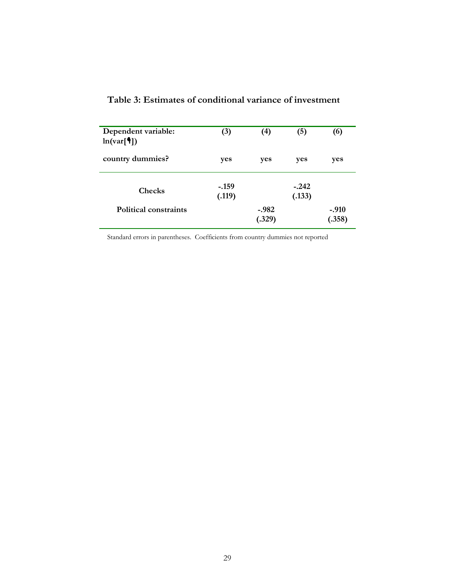| Dependent variable:<br>ln(var[ <sup>4</sup> ]) | (3)               | (4)               | (5)               | (6)               |
|------------------------------------------------|-------------------|-------------------|-------------------|-------------------|
| country dummies?                               | yes               | yes               | yes               | yes               |
| <b>Checks</b>                                  | $-.159$<br>(.119) |                   | $-.242$<br>(.133) |                   |
| Political constraints                          |                   | $-.982$<br>(.329) |                   | $-.910$<br>(.358) |

# **Table 3: Estimates of conditional variance of investment**

Standard errors in parentheses. Coefficients from country dummies not reported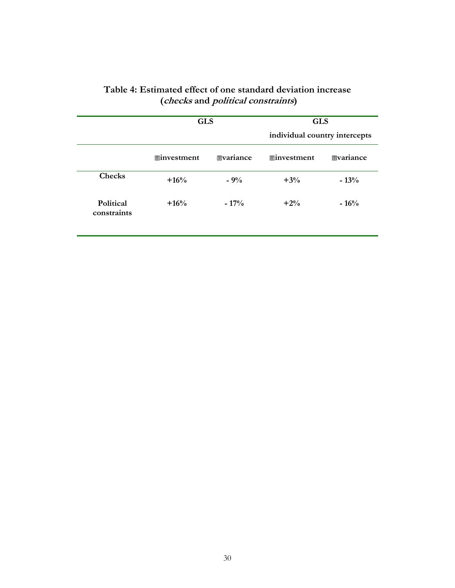|                          | <b>GLS</b>         |                  | <b>GLS</b><br>individual country intercepts |                  |
|--------------------------|--------------------|------------------|---------------------------------------------|------------------|
|                          | <b>■investment</b> | <b>Evariance</b> | <b>■investment</b>                          | <b>Evariance</b> |
| <b>Checks</b>            | $+16%$             | $-9%$            | $+3%$                                       | $-13%$           |
| Political<br>constraints | $+16%$             | $-17\%$          | $+2%$                                       | $-16%$           |

### **Table 4: Estimated effect of one standard deviation increase (checks and political constraints)**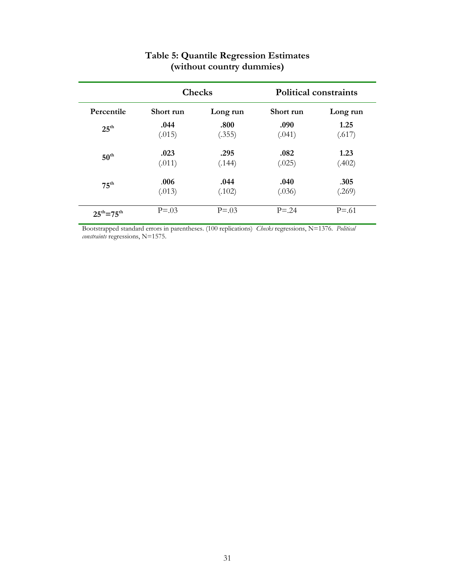|                             |           | <b>Checks</b> |            | <b>Political constraints</b> |
|-----------------------------|-----------|---------------|------------|------------------------------|
| Percentile                  | Short run | Long run      | Short run  | Long run                     |
| $25^{\text{th}}$            | .044      | .800          | .090       | 1.25                         |
|                             | (.015)    | (.355)        | (.041)     | (.617)                       |
| $50^{\text{th}}$            | .023      | .295          | .082       | 1.23                         |
|                             | (.011)    | (.144)        | (.025)     | (.402)                       |
| $75^{\text{th}}$            | .006      | .044          | .040       | .305                         |
|                             | (.013)    | (.102)        | (.036)     | (.269)                       |
| $25^{\rm th} = 75^{\rm th}$ | $P = .03$ | $P = 0.03$    | $P = 0.24$ | $P = 0.61$                   |

# **Table 5: Quantile Regression Estimates (without country dummies)**

Bootstrapped standard errors in parentheses. (100 replications) *Checks* regressions, N=1376. *Political constraints* regressions, N=1575.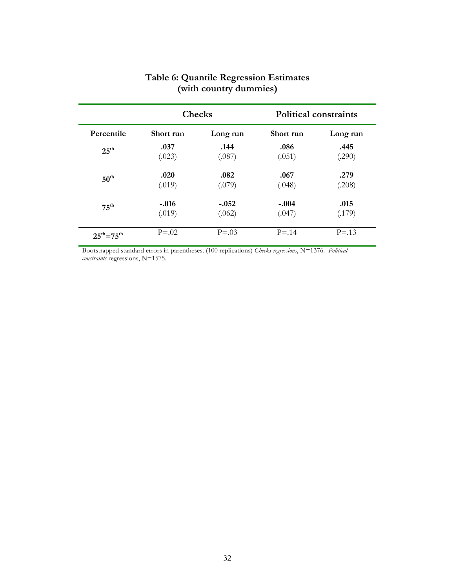|                     | <b>Checks</b> |            |           | <b>Political constraints</b> |
|---------------------|---------------|------------|-----------|------------------------------|
| Percentile          | Short run     | Long run   | Short run | Long run                     |
| $25^{\text{th}}$    | .037          | .144       | .086      | .445                         |
|                     | (.023)        | (.087)     | (.051)    | (.290)                       |
| $50^{\text{th}}$    | .020          | .082       | .067      | .279                         |
|                     | (.019)        | (.079)     | (.048)    | (.208)                       |
| $75^{\text{th}}$    | $-.016$       | $-.052$    | $-.004$   | .015                         |
|                     | (.019)        | (.062)     | (.047)    | (.179)                       |
| $25^{th} = 75^{th}$ | $P = 0.02$    | $P = 0.03$ | $P = 14$  | $P = 1.3$                    |

### **Table 6: Quantile Regression Estimates (with country dummies)**

Bootstrapped standard errors in parentheses. (100 replications) *Checks regressions*, N=1376. *Political constraints* regressions, N=1575.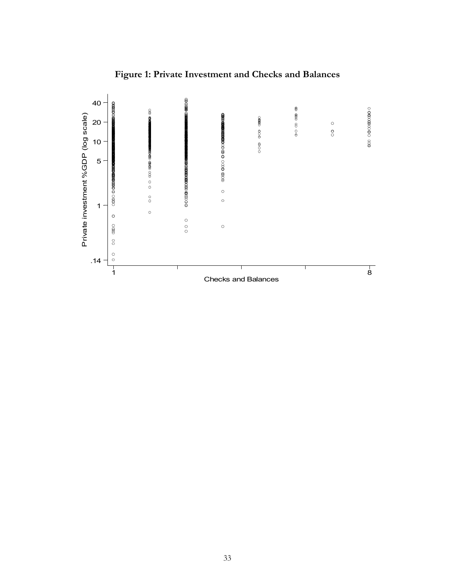

# **Figure 1: Private Investment and Checks and Balances**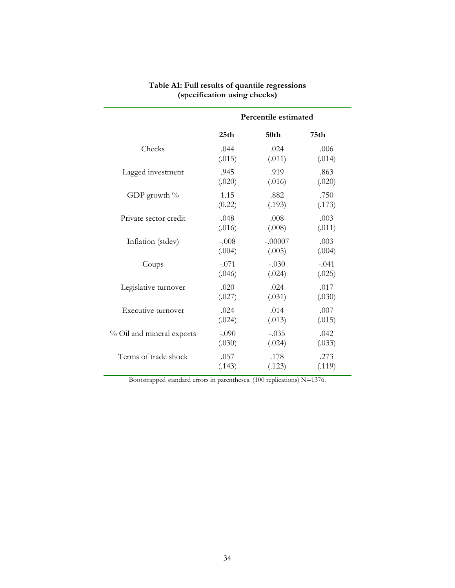|                           | Percentile estimated |           |         |
|---------------------------|----------------------|-----------|---------|
|                           | 25 <sub>th</sub>     | 50th      | 75th    |
| Checks                    | .044                 | .024      | .006    |
|                           | (.015)               | (.011)    | (.014)  |
| Lagged investment         | .945                 | .919      | .863    |
|                           | (.020)               | (.016)    | (.020)  |
| GDP growth $\%$           | 1.15                 | .882      | .750    |
|                           | (0.22)               | (.193)    | (.173)  |
| Private sector credit     | .048                 | .008      | .003    |
|                           | (.016)               | (.008)    | (.011)  |
| Inflation (stdev)         | $-.008$              | $-.00007$ | .003    |
|                           | (.004)               | (.005)    | (.004)  |
| Coups                     | $-.071$              | $-.030$   | $-.041$ |
|                           | (.046)               | (.024)    | (.025)  |
| Legislative turnover      | .020                 | .024      | .017    |
|                           | (.027)               | (.031)    | (.030)  |
| Executive turnover        | .024                 | .014      | .007    |
|                           | (.024)               | (.013)    | (.015)  |
| % Oil and mineral exports | $-.090$              | $-.035$   | .042    |
|                           | (.030)               | (.024)    | (.033)  |
| Terms of trade shock      | .057                 | .178      | .273    |
|                           | (.143)               | (.123)    | (.119)  |

#### **Table A1: Full results of quantile regressions (specification using checks)**

Bootstrapped standard errors in parentheses. (100 replications) N=1376.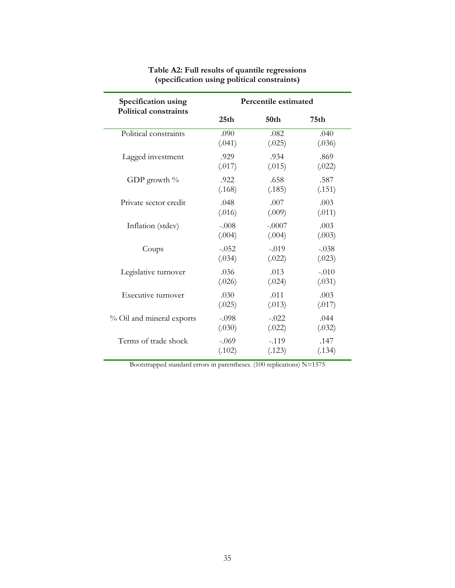| Specification using<br><b>Political constraints</b> | Percentile estimated |                  |         |  |
|-----------------------------------------------------|----------------------|------------------|---------|--|
|                                                     | 25 <sub>th</sub>     | 50 <sub>th</sub> | 75th    |  |
| Political constraints                               | .090                 | .082             | .040    |  |
|                                                     | (.041)               | (.025)           | (.036)  |  |
| Lagged investment                                   | .929                 | .934             | .869    |  |
|                                                     | (.017)               | (.015)           | (.022)  |  |
| GDP growth $\%$                                     | .922                 | .658             | .587    |  |
|                                                     | (.168)               | (.185)           | (.151)  |  |
| Private sector credit                               | .048                 | .007             | .003    |  |
|                                                     | (.016)               | (.009)           | (.011)  |  |
| Inflation (stdev)                                   | $-.008$              | $-.0007$         | .003    |  |
|                                                     | (.004)               | (.004)           | (.003)  |  |
| Coups                                               | $-.052$              | $-.019$          | $-.038$ |  |
|                                                     | (.034)               | (.022)           | (.023)  |  |
| Legislative turnover                                | .036                 | .013             | $-.010$ |  |
|                                                     | (.026)               | (.024)           | (.031)  |  |
| Executive turnover                                  | .030                 | .011             | .003    |  |
|                                                     | (.025)               | (.013)           | (.017)  |  |
| % Oil and mineral exports                           | $-.098$              | $-.022$          | .044    |  |
|                                                     | (.030)               | (.022)           | (.032)  |  |
| Terms of trade shock                                | $-.069$              | $-.119$          | .147    |  |
|                                                     | (.102)               | (.123)           | (.134)  |  |

#### **Table A2: Full results of quantile regressions (specification using political constraints)**

Bootstrapped standard errors in parentheses. (100 replications) N=1575